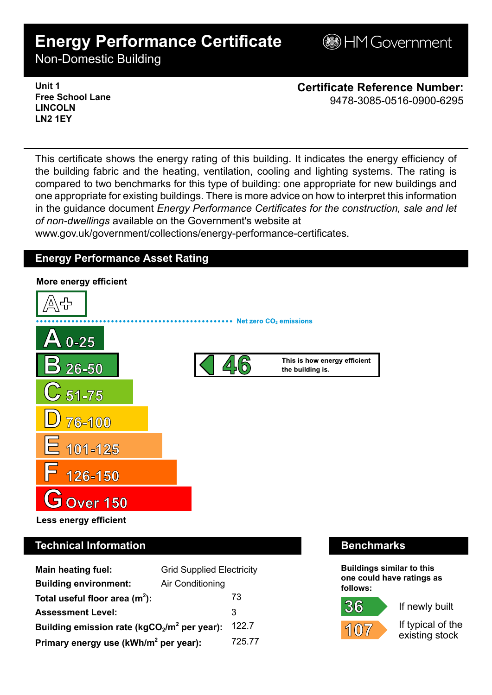# **Energy Performance Certificate**

**BHM Government** 

Non-Domestic Building

**Unit 1 Free School Lane LINCOLN LN2 1EY**

**Certificate Reference Number:** 9478-3085-0516-0900-6295

This certificate shows the energy rating of this building. It indicates the energy efficiency of the building fabric and the heating, ventilation, cooling and lighting systems. The rating is compared to two benchmarks for this type of building: one appropriate for new buildings and one appropriate for existing buildings. There is more advice on how to interpret this information in the guidance document *Energy Performance Certificates for the construction, sale and let of non-dwellings* available on the Government's website at

www.gov.uk/government/collections/energy-performance-certificates.

## **Energy Performance Asset Rating**



# **Technical Information Benchmarks**

| Main heating fuel:                                | <b>Grid Supplied Electricity</b> |        |
|---------------------------------------------------|----------------------------------|--------|
| <b>Building environment:</b>                      | Air Conditioning                 |        |
| Total useful floor area $(m2)$ :                  |                                  | 73     |
| <b>Assessment Level:</b>                          |                                  | 3      |
| Building emission rate ( $kgCO2/m2$ per year):    |                                  | 122.7  |
| Primary energy use (kWh/m <sup>2</sup> per year): |                                  | 725.77 |

**Buildings similar to this one could have ratings as follows:**

If newly built



36

If typical of the existing stock